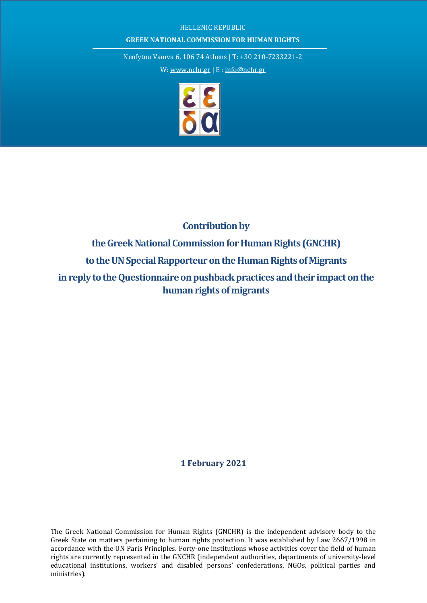## HELLENIC REPUBLIC **GREEK NATIONAL COMMISSION FOR HUMAN RIGHTS**

Neofytou Vamva 6, 106 74 Athens | T: +30 210-7233221-2

W[: www.nchr.gr](http://www.nchr.gr/) | E : [info@nchr.gr](mailto:info@nchr.gr)



# **Contribution by**  the Greek National Commission for Human Rights (GNCHR) to the UN Special Rapporteur on the Human Rights of Migrants **in reply to the Questionnaire on pushback practices and their impact on the human rights of migrants**

**1 February 2021**

The Greek National Commission for Human Rights (GNCHR) is the independent advisory body to the Greek State on matters pertaining to human rights protection. It was established by Law 2667/1998 in accordance with the UN Paris Principles. Forty-one institutions whose activities cover the field of human rights are currently represented in the GNCHR (independent authorities, departments of university-level educational institutions, workers' and disabled persons' confederations, NGOs, political parties and ministries).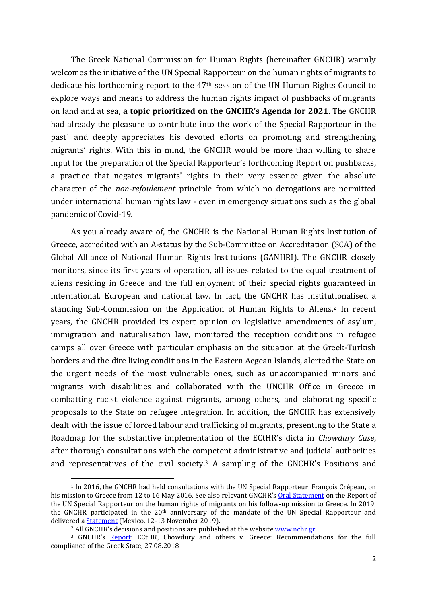The Greek National Commission for Human Rights (hereinafter GNCHR) warmly welcomes the initiative of the UN Special Rapporteur on the human rights of migrants to dedicate his forthcoming report to the 47th session of the UN Human Rights Council to explore ways and means to address the human rights impact of pushbacks of migrants on land and at sea, **a topic prioritized on the GNCHR's Agenda for 2021**. The GNCHR had already the pleasure to contribute into the work of the Special Rapporteur in the past<sup>1</sup> and deeply appreciates his devoted efforts on promoting and strengthening migrants' rights. With this in mind, the GNCHR would be more than willing to share input for the preparation of the Special Rapporteur's forthcoming Report on pushbacks, a practice that negates migrants' rights in their very essence given the absolute character of the *non-refoulement* principle from which no derogations are permitted under international human rights law - even in emergency situations such as the global pandemic of Covid-19.

As you already aware of, the GNCHR is the National Human Rights Institution of Greece, accredited with an A-status by the Sub-Committee on Accreditation (SCA) of the Global Alliance of National Human Rights Institutions (GANHRI). The GNCHR closely monitors, since its first years of operation, all issues related to the equal treatment of aliens residing in Greece and the full enjoyment of their special rights guaranteed in international, European and national law. In fact, the GNCHR has institutionalised a standing Sub-Commission on the Application of Human Rights to Aliens.<sup>2</sup> In recent years, the GNCHR provided its expert opinion on legislative amendments of asylum, immigration and naturalisation law, monitored the reception conditions in refugee camps all over Greece with particular emphasis on the situation at the Greek-Turkish borders and the dire living conditions in the Eastern Aegean Islands, alerted the State on the urgent needs of the most vulnerable ones, such as unaccompanied minors and migrants with disabilities and collaborated with the UNCHR Office in Greece in combatting racist violence against migrants, among others, and elaborating specific proposals to the State on refugee integration. In addition, the GNCHR has extensively dealt with the issue of forced labour and trafficking of migrants, presenting to the State a Roadmap for the substantive implementation of the ECtHR's dicta in *Chowdury Case*, after thorough consultations with the competent administrative and judicial authorities and representatives of the civil society.<sup>3</sup> A sampling of the GNCHR's Positions and

 $\overline{a}$ 

<sup>&</sup>lt;sup>1</sup> In 2016, the GNCHR had held consultations with the UN Special Rapporteur, François Crépeau, on his mission to Greece from 12 to 16 May 2016. See also relevant GNCHR's [Oral Statement](https://www.nchr.gr/en/decisions-positions/94-refugees-migrants/489-gnchr-oral-statement-on-the-report-of-the-un-special-rapporteur-on-the-human-rights-of-migrants-francois-crepeau-on-his-follow-up-mission-to-greece-12-16-may-2016-8-6-2017.html) on the Report of the UN Special Rapporteur on the human rights of migrants on his follow-up mission to Greece. In 2019, the GNCHR participated in the 20<sup>th</sup> anniversary of the mandate of the UN Special Rapporteur and delivered a **Statement** (Mexico, 12-13 November 2019).

<sup>&</sup>lt;sup>2</sup> All GNCHR's decisions and positions are published at the website www.nchr.gr.

<sup>&</sup>lt;sup>3</sup> GNCHR's [Report:](https://www.nchr.gr/en/decisions-positions/80-human-trafficking/412-ecthr-chowdury-and-others-v-greece-recommendations-for-the-full-compliance-of-the-greek-state.html) ECtHR, Chowdury and others v. Greece: Recommendations for the full compliance of the Greek State, 27.08.2018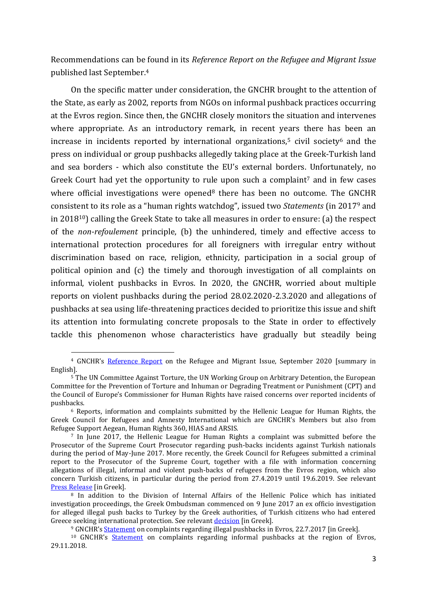Recommendations can be found in its *Reference Report on the Refugee and Migrant Issue* published last September.<sup>4</sup>

On the specific matter under consideration, the GNCHR brought to the attention of the State, as early as 2002, reports from NGOs on informal pushback practices occurring at the Evros region. Since then, the GNCHR closely monitors the situation and intervenes where appropriate. As an introductory remark, in recent years there has been an increase in incidents reported by international organizations,<sup>5</sup> civil society $6$  and the press on individual or group pushbacks allegedly taking place at the Greek-Turkish land and sea borders - which also constitute the EU's external borders. Unfortunately, no Greek Court had yet the opportunity to rule upon such a complaint<sup>7</sup> and in few cases where official investigations were opened<sup>8</sup> there has been no outcome. The GNCHR consistent to its role as a "human rights watchdog", issued two *Statements* (in 2017<sup>9</sup> and in 201810) calling the Greek State to take all measures in order to ensure: (a) the respect of the *non-refoulement* principle, (b) the unhindered, timely and effective access to international protection procedures for all foreigners with irregular entry without discrimination based on race, religion, ethnicity, participation in a social group of political opinion and (c) the timely and thorough investigation of all complaints on informal, violent pushbacks in Evros. In 2020, the GNCHR, worried about multiple reports on violent pushbacks during the period 28.02.2020-2.3.2020 and allegations of pushbacks at sea using life-threatening practices decided to prioritize this issue and shift its attention into formulating concrete proposals to the State in order to effectively tackle this phenomenon whose characteristics have gradually but steadily being

 $\overline{a}$ 

<sup>&</sup>lt;sup>4</sup> GNCHR's [Reference Report](https://www.nchr.gr/en/decisions-positions/94-refugees-migrants/1131-gnchr-reference-report-on-the-refugee-and-migrant-issue.html) on the Refugee and Migrant Issue, September 2020 [summary in English].

<sup>5</sup> The UN Committee Against Torture, the UN Working Group on Arbitrary Detention, the European Committee for the Prevention of Torture and Inhuman or Degrading Treatment or Punishment (CPT) and the Council of Europe's Commissioner for Human Rights have raised concerns over reported incidents of pushbacks.

<sup>6</sup> Reports, information and complaints submitted by the Hellenic League for Human Rights, the Greek Council for Refugees and Amnesty International which are GNCHR's Members but also from Refugee Support Aegean, Human Rights 360, HIAS and ARSIS.

<sup>7</sup> In June 2017, the Hellenic League for Human Rights a complaint was submitted before the Prosecutor of the Supreme Court Prosecutor regarding push-backs incidents against Turkish nationals during the period of May-June 2017. More recently, the Greek Council for Refugees submitted a criminal report to the Prosecutor of the Supreme Court, together with a file with information concerning allegations of illegal, informal and violent push-backs of refugees from the Evros region, which also concern Turkish citizens, in particular during the period from 27.4.2019 until 19.6.2019. See relevant [Press Release](https://www.gcr.gr/en/news/press-releases-announcements/item/1200-to-esp-katathetei-minyseis-kai-anafora-meta-apo-kataggelies-prosfygon-gia-epanaproothiseis-ston-evro) [in Greek].

<sup>8</sup> In addition to the Division of Internal Affairs of the Hellenic Police which has initiated investigation proceedings, the Greek Ombudsman commenced on 9 June 2017 an ex officio investigation for alleged illegal push backs to Turkey by the Greek authorities, of Turkish citizens who had entered Greece seeking international protection. See relevant [decision](https://www.synigoros.gr/resources/20170609-apof-ayt-ereyn-epanaprooth.pdf) [in Greek].

<sup>9</sup> GNCHR's [Statement](https://www.nchr.gr/2020-02-26-05-51-20/57-prosfyges-metanastes/809-%CE%B4%CE%AE%CE%BB%CF%89%CF%83%CE%B7-%CF%84%CE%B7%CF%82-%CE%B5%CE%B5%CE%B4%CE%B1-%CE%B3%CE%B9%CE%B1-%CF%84%CE%B7%CE%BD-%CE%BA%CE%B1%CF%84%CE%AC%CF%83%CF%84%CE%B1%CF%83%CE%B7-%CF%258) on complaints regarding illegal pushbacks in Evros, 22.7.2017 [in Greek].

<sup>10</sup> GNCHR's [Statement](https://www.nchr.gr/en/decisions-positions/94-refugees-migrants/484-statement-gnchr-statement-on-complaints-regarding-informal-push-backs-at-the-region-of-evros.html) on complaints regarding informal pushbacks at the region of Evros, 29.11.2018.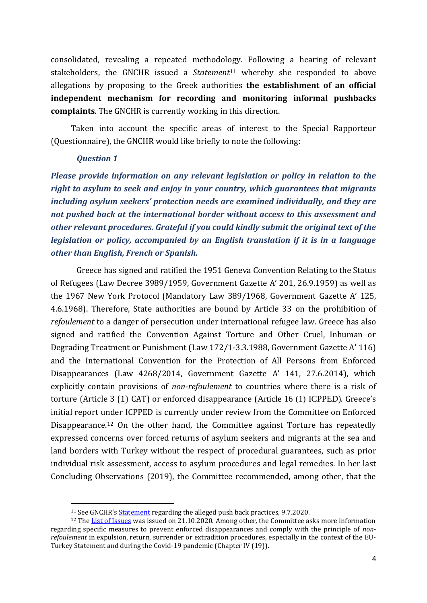consolidated, revealing a repeated methodology. Following a hearing of relevant stakeholders, the GNCHR issued a *Statement*<sup>11</sup> whereby she responded to above allegations by proposing to the Greek authorities **the establishment of an official independent mechanism for recording and monitoring informal pushbacks complaints**. The GNCHR is currently working in this direction.

Taken into account the specific areas of interest to the Special Rapporteur (Questionnaire), the GNCHR would like briefly to note the following:

#### *Question 1*

 $\overline{a}$ 

*Please provide information on any relevant legislation or policy in relation to the right to asylum to seek and enjoy in your country, which guarantees that migrants including asylum seekers' protection needs are examined individually, and they are not pushed back at the international border without access to this assessment and other relevant procedures. Grateful if you could kindly submit the original text of the legislation or policy, accompanied by an English translation if it is in a language other than English, French or Spanish.*

Greece has signed and ratified the 1951 Geneva Convention Relating to the Status of Refugees (Law Decree 3989/1959, Government Gazette A' 201, 26.9.1959) as well as the 1967 New York Protocol (Mandatory Law 389/1968, Government Gazette A' 125, 4.6.1968). Therefore, State authorities are bound by Article 33 on the prohibition of *refoulement* to a danger of persecution under international refugee law. Greece has also signed and ratified the Convention Against Torture and Other Cruel, Inhuman or Degrading Treatment or Punishment (Law 172/1-3.3.1988, Government Gazette A' 116) and the International Convention for the Protection of All Persons from Enforced Disappearances (Law 4268/2014, Government Gazette A' 141, 27.6.2014), which explicitly contain provisions of *non-refoulement* to countries where there is a risk of torture (Article 3 (1) CAT) or enforced disappearance (Article 16 (1) ICPPED). Greece's initial report under ICPPED is currently under review from the Committee on Enforced Disappearance.<sup>12</sup> On the other hand, the Committee against Torture has repeatedly expressed concerns over forced returns of asylum seekers and migrants at the sea and land borders with Turkey without the respect of procedural guarantees, such as prior individual risk assessment, access to asylum procedures and legal remedies. In her last Concluding Observations (2019), the Committee recommended, among other, that the

<sup>&</sup>lt;sup>11</sup> See GNCHR's **[Statement](https://www.nchr.gr/images/English_Site/PROSFYGES/GNCHR-Statement-on-the-reported-practices-of-push-backs.pdf)** regarding the alleged push back practices, 9.7.2020.

<sup>12</sup> Th[e List of Issues](https://docstore.ohchr.org/SelfServices/FilesHandler.ashx?enc=6QkG1d%2fPPRiCAqhKb7yhsihYBwbOeSWh7%2blQK%2fe4jK82g9%2bQB0yfSmZamOMTGlTYO5VUhHVZTqXPEDpYVdNS0%2bKy29oleTmYLwl0KmpTfYxrQ54UHfQmqbl8FIrFokPy) was issued on 21.10.2020. Among other, the Committee asks more information regarding specific measures to prevent enforced disappearances and comply with the principle of *nonrefoulement* in expulsion, return, surrender or extradition procedures, especially in the context of the EU-Turkey Statement and during the Covid-19 pandemic (Chapter IV (19)).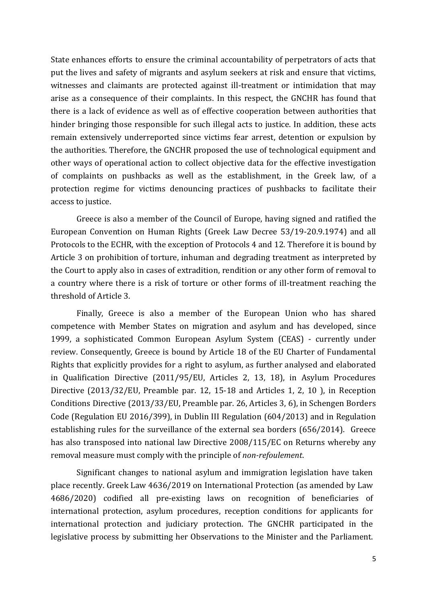State enhances efforts to ensure the criminal accountability of perpetrators of acts that put the lives and safety of migrants and asylum seekers at risk and ensure that victims, witnesses and claimants are protected against ill-treatment or intimidation that may arise as a consequence of their complaints. In this respect, the GNCHR has found that there is a lack of evidence as well as of effective cooperation between authorities that hinder bringing those responsible for such illegal acts to justice. In addition, these acts remain extensively underreported since victims fear arrest, detention or expulsion by the authorities. Therefore, the GNCHR proposed the use of technological equipment and other ways of operational action to collect objective data for the effective investigation of complaints on pushbacks as well as the establishment, in the Greek law, of a protection regime for victims denouncing practices of pushbacks to facilitate their access to justice.

Greece is also a member of the Council of Europe, having signed and ratified the European Convention on Human Rights (Greek Law Decree 53/19-20.9.1974) and all Protocols to the ECHR, with the exception of Protocols 4 and 12. Therefore it is bound by Article 3 on prohibition of torture, inhuman and degrading treatment as interpreted by the Court to apply also in cases of extradition, rendition or any other form of removal to a country where there is a risk of torture or other forms of ill-treatment reaching the threshold of Article 3.

Finally, Greece is also a member of the European Union who has shared competence with Member States on migration and asylum and has developed, since 1999, a sophisticated Common European Asylum System (CEAS) - currently under review. Consequently, Greece is bound by Article 18 of the EU Charter of Fundamental Rights that explicitly provides for a right to asylum, as further analysed and elaborated in Qualification Directive (2011/95/EU, Articles 2, 13, 18), in Asylum Procedures Directive (2013/32/EU, Preamble par. 12, 15-18 and Articles 1, 2, 10 ), in Reception Conditions Directive (2013/33/EU, Preamble par. 26, Articles 3, 6), in Schengen Borders Code (Regulation EU 2016/399), in Dublin III Regulation (604/2013) and in Regulation establishing rules for the surveillance of the external sea borders (656/2014). Greece has also transposed into national law Directive 2008/115/EC on Returns whereby any removal measure must comply with the principle of *non-refoulement*.

Significant changes to national asylum and immigration legislation have taken place recently. Greek Law 4636/2019 on International Protection (as amended by Law 4686/2020) codified all pre-existing laws on recognition of beneficiaries of international protection, asylum procedures, reception conditions for applicants for international protection and judiciary protection. The GNCHR participated in the legislative process by submitting her Observations to the Minister and the Parliament.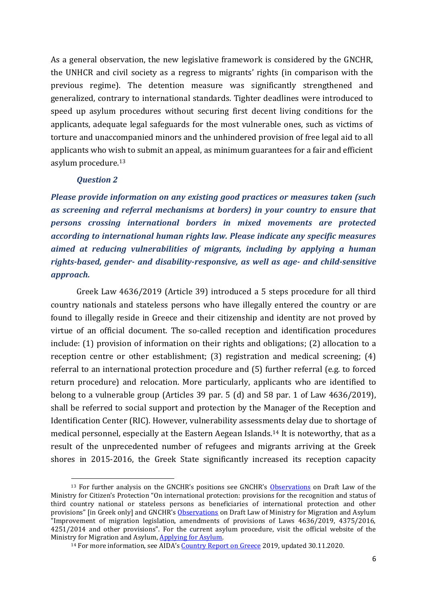As a general observation, the new legislative framework is considered by the GNCHR, the UNHCR and civil society as a regress to migrants' rights (in comparison with the previous regime). The detention measure was significantly strengthened and generalized, contrary to international standards. Tighter deadlines were introduced to speed up asylum procedures without securing first decent living conditions for the applicants, adequate legal safeguards for the most vulnerable ones, such as victims of torture and unaccompanied minors and the unhindered provision of free legal aid to all applicants who wish to submit an appeal, as minimum guarantees for a fair and efficient asylum procedure. 13

#### *Question 2*

 $\overline{a}$ 

*Please provide information on any existing good practices or measures taken (such as screening and referral mechanisms at borders) in your country to ensure that persons crossing international borders in mixed movements are protected according to international human rights law. Please indicate any specific measures aimed at reducing vulnerabilities of migrants, including by applying a human rights-based, gender- and disability-responsive, as well as age- and child-sensitive approach.* 

Greek Law 4636/2019 (Article 39) introduced a 5 steps procedure for all third country nationals and stateless persons who have illegally entered the country or are found to illegally reside in Greece and their citizenship and identity are not proved by virtue of an official document. The so-called reception and identification procedures include: (1) provision of information on their rights and obligations; (2) allocation to a reception centre or other establishment; (3) registration and medical screening; (4) referral to an international protection procedure and (5) further referral (e.g. to forced return procedure) and relocation. More particularly, applicants who are identified to belong to a vulnerable group (Articles 39 par. 5 (d) and 58 par. 1 of Law 4636/2019), shall be referred to social support and protection by the Manager of the Reception and Identification Center (RIC). However, vulnerability assessments delay due to shortage of medical personnel, especially at the Eastern Aegean Islands.<sup>14</sup> It is noteworthy, that as a result of the unprecedented number of refugees and migrants arriving at the Greek shores in 2015-2016, the Greek State significantly increased its reception capacity

<sup>&</sup>lt;sup>13</sup> For further analysis on the GNCHR's positions see GNCHR's [Observations](https://www.nchr.gr/2020-02-26-05-51-20/57-prosfyges-metanastes/799-%CF%80%CE%B1%CF%81%CE%B1%CF%84%CE%B7%CF%81%CE%AE%CF%83%CE%B5%CE%B9%CF%82-%CF%84%CE%B7%CF%82-%CE%B5%CE%B5%CE%B4%CE%B1-%CF%83%CF%84%CE%BF-%CF%83%CF%87%CE%AD%CE%B4%CE%B9%CE%BF-%CE%BD%CF%8C%CE) on Draft Law of the Ministry for Citizen's Protection "On international protection: provisions for the recognition and status of third country national or stateless persons as beneficiaries of international protection and other provisions" [in Greek only] and GNCHR's [Observations](https://www.nchr.gr/en/decisions-positions/94-refugees-migrants/845-gnchr-s-observations-on-draft-law-of-ministry-for-migration-and-asylum-improvement-of-migration-legislation,-amendments-of-provisions-of-laws-4636-2019,-4375-2016,-4251-2014-and-other-prov) on Draft Law of Ministry for Migration and Asylum "Improvement of migration legislation, amendments of provisions of Laws 4636/2019, 4375/2016, 4251/2014 and other provisions". For the current asylum procedure, visit the official website of the Ministry for Migration and Asylum[, Applying for Asylum.](https://migration.gov.gr/en/gas/diadikasia-asyloy/i-aitisi-gia-asylo/)

<sup>&</sup>lt;sup>14</sup> For more information, see AIDA's [Country Report on Greece](https://asylumineurope.org/reports/country/greece/) 2019, updated 30.11.2020.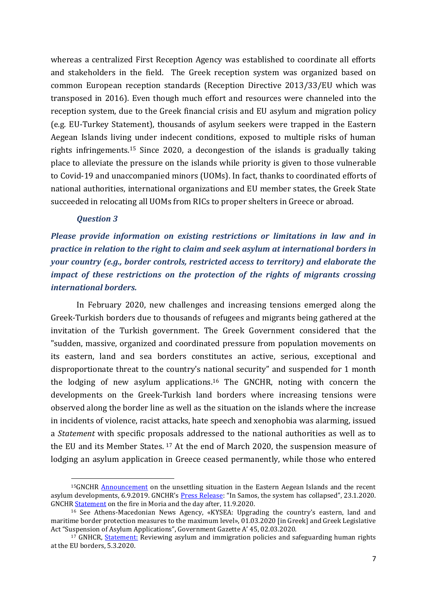whereas a centralized First Reception Agency was established to coordinate all efforts and stakeholders in the field. The Greek reception system was organized based on common European reception standards (Reception Directive 2013/33/EU which was transposed in 2016). Even though much effort and resources were channeled into the reception system, due to the Greek financial crisis and EU asylum and migration policy (e.g. EU-Turkey Statement), thousands of asylum seekers were trapped in the Eastern Aegean Islands living under indecent conditions, exposed to multiple risks of human rights infringements.<sup>15</sup> Since 2020, a decongestion of the islands is gradually taking place to alleviate the pressure on the islands while priority is given to those vulnerable to Covid-19 and unaccompanied minors (UOMs). In fact, thanks to coordinated efforts of national authorities, international organizations and EU member states, the Greek State succeeded in relocating all UOMs from RICs to proper shelters in Greece or abroad.

#### *Question 3*

 $\overline{a}$ 

*Please provide information on existing restrictions or limitations in law and in practice in relation to the right to claim and seek asylum at international borders in your country (e.g., border controls, restricted access to territory) and elaborate the impact of these restrictions on the protection of the rights of migrants crossing international borders.* 

In February 2020, new challenges and increasing tensions emerged along the Greek-Turkish borders due to thousands of refugees and migrants being gathered at the invitation of the Turkish government. The Greek Government considered that the "sudden, massive, organized and coordinated pressure from population movements on its eastern, land and sea borders constitutes an active, serious, exceptional and disproportionate threat to the country's national security" and suspended for 1 month the lodging of new asylum applications. <sup>16</sup> The GNCHR, noting with concern the developments on the Greek-Turkish land borders where increasing tensions were observed along the border line as well as the situation on the islands where the increase in incidents of violence, racist attacks, hate speech and xenophobia was alarming, issued a *Statement* with specific proposals addressed to the national authorities as well as to the EU and its Member States. <sup>17</sup> At the end of March 2020, the suspension measure of lodging an asylum application in Greece ceased permanently, while those who entered

<sup>&</sup>lt;sup>15</sup>GNCHR **Announcement** on the unsettling situation in the Eastern Aegean Islands and the recent asylum developments, 6.9.2019. GNCHR's [Press Release](https://www.nchr.gr/en/news/1023-in-samos,-the-system-has-collapsed.html): "In Samos, the system has collapsed", 23.1.2020. GNCH[R Statement](https://www.nchr.gr/en/news/1020-gnchr-statement-on-the-fire-in-moria-and-the-day-after.html) on the fire in Moria and the day after, 11.9.2020.

 $16$  See Athens-Macedonian News Agency, «KYSEA: Upgrading the country's eastern, land and maritime border protection measures to the maximum level», 01.03.2020 [in Greek] and Greek Legislative Act "Suspension of Asylum Applications", Government Gazette A' 45, 02.03.2020.

 $17$  GNHCR, [Statement:](https://www.nchr.gr/en/decisions-positions/94-refugees-migrants/477-gnchr-statement-reviewing-asylum-and-immigration-policies-and-safeguarding-human-rights-at-the-eu-borders.html) Reviewing asylum and immigration policies and safeguarding human rights at the EU borders, 5.3.2020.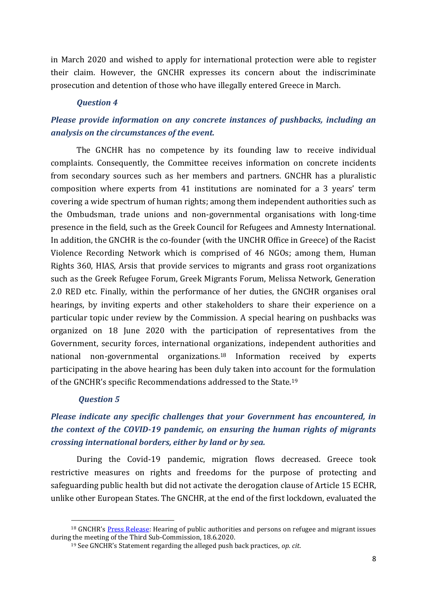in March 2020 and wished to apply for international protection were able to register their claim. However, the GNCHR expresses its concern about the indiscriminate prosecution and detention of those who have illegally entered Greece in March.

## *Question 4*

# *Please provide information on any concrete instances of pushbacks, including an analysis on the circumstances of the event.*

The GNCHR has no competence by its founding law to receive individual complaints. Consequently, the Committee receives information on concrete incidents from secondary sources such as her members and partners. GNCHR has a pluralistic composition where experts from 41 institutions are nominated for a 3 years' term covering a wide spectrum of human rights; among them independent authorities such as the Ombudsman, trade unions and non-governmental organisations with long-time presence in the field, such as the Greek Council for Refugees and Amnesty International. In addition, the GNCHR is the co-founder (with the UNCHR Office in Greece) of the Racist Violence Recording Network which is comprised of 46 NGOs; among them, Human Rights 360, HIAS, Arsis that provide services to migrants and grass root organizations such as the Greek Refugee Forum, Greek Migrants Forum, Melissa Network, Generation 2.0 RED etc. Finally, within the performance of her duties, the GNCHR organises oral hearings, by inviting experts and other stakeholders to share their experience on a particular topic under review by the Commission. A special hearing on pushbacks was organized on 18 June 2020 with the participation of representatives from the Government, security forces, international organizations, independent authorities and national non-governmental organizations.<sup>18</sup> Information received by experts participating in the above hearing has been duly taken into account for the formulation of the GNCHR's specific Recommendations addressed to the State.<sup>19</sup>

### *Question 5*

 $\overline{a}$ 

# *Please indicate any specific challenges that your Government has encountered, in the context of the COVID-19 pandemic, on ensuring the human rights of migrants crossing international borders, either by land or by sea.*

During the Covid-19 pandemic, migration flows decreased. Greece took restrictive measures on rights and freedoms for the purpose of protecting and safeguarding public health but did not activate the derogation clause of Article 15 ECHR, unlike other European States. The GNCHR, at the end of the first lockdown, evaluated the

<sup>&</sup>lt;sup>18</sup> GNCHR's [Press Release:](https://www.nchr.gr/en/news/1022-hearing-of-public-authorities-and-persons-on-refugee-and-migrant-issues-during-the-meeting-of-the-third-sub-commission-of-the-gnchr.html) Hearing of public authorities and persons on refugee and migrant issues during the meeting of the Third Sub-Commission, 18.6.2020.

<sup>19</sup> See GNCHR's Statement regarding the alleged push back practices, *op. cit*.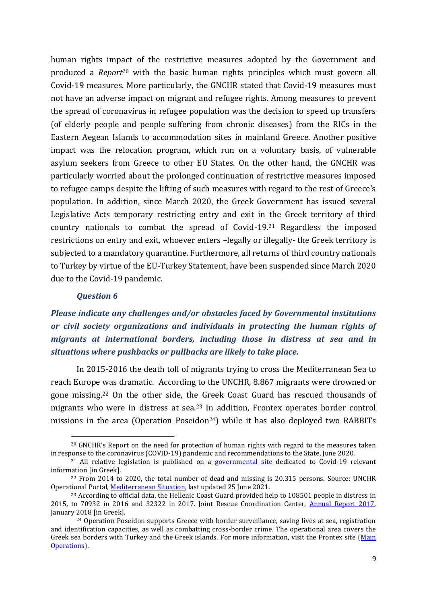human rights impact of the restrictive measures adopted by the Government and produced a *Report*<sup>20</sup> with the basic human rights principles which must govern all Covid-19 measures. More particularly, the GNCHR stated that Covid-19 measures must not have an adverse impact on migrant and refugee rights. Among measures to prevent the spread of coronavirus in refugee population was the decision to speed up transfers (of elderly people and people suffering from chronic diseases) from the RICs in the Eastern Aegean Islands to accommodation sites in mainland Greece. Another positive impact was the relocation program, which run on a voluntary basis, of vulnerable asylum seekers from Greece to other EU States. On the other hand, the GNCHR was particularly worried about the prolonged continuation of restrictive measures imposed to refugee camps despite the lifting of such measures with regard to the rest of Greece's population. In addition, since March 2020, the Greek Government has issued several Legislative Acts temporary restricting entry and exit in the Greek territory of third country nationals to combat the spread of Covid-19.<sup>21</sup> Regardless the imposed restrictions on entry and exit, whoever enters –legally or illegally- the Greek territory is subjected to a mandatory quarantine. Furthermore, all returns of third country nationals to Turkey by virtue of the EU-Turkey Statement, have been suspended since March 2020 due to the Covid-19 pandemic.

## *Question 6*

 $\overline{a}$ 

*Please indicate any challenges and/or obstacles faced by Governmental institutions or civil society organizations and individuals in protecting the human rights of migrants at international borders, including those in distress at sea and in situations where pushbacks or pullbacks are likely to take place.* 

In 2015-2016 the death toll of migrants trying to cross the Mediterranean Sea to reach Europe was dramatic. According to the UNCHR, 8.867 migrants were drowned or gone missing. <sup>22</sup> On the other side, the Greek Coast Guard has rescued thousands of migrants who were in distress at sea.<sup>23</sup> In addition, Frontex operates border control missions in the area (Operation Poseidon<sup>24</sup>) while it has also deployed two RABBITs

<sup>&</sup>lt;sup>20</sup> GNCHR's Report on the need for protection of human rights with regard to the measures taken in response to the coronavirus (COVID-19) pandemic and recommendations to the State, June 2020.

 $21$  All relative legislation is published on a [governmental site](https://covid19.gov.gr/category/metafores/) dedicated to Covid-19 relevant information [in Greek].

 $22$  From 2014 to 2020, the total number of dead and missing is 20.315 persons. Source: UNCHR Operational Portal, [Mediterranean Situation,](https://data2.unhcr.org/en/situations/mediterranean) last updated 25 June 2021.

<sup>&</sup>lt;sup>23</sup> According to official data, the Hellenic Coast Guard provided help to 108501 people in distress in 2015, to 70932 in 2016 and 32322 in 2017. Joint Rescue Coordination Center, [Annual Report 2017,](http://www.hcg.gr/sites/default/files/article/attach/ANNUAL%20REPORT%202017_%CE%95%CE%9A%CE%A3%CE%95%CE%94%20.pdf)  January 2018 [in Greek].

<sup>24</sup> Operation Poseidon supports Greece with border surveillance, saving lives at sea, registration and identification capacities, as well as combatting cross-border crime. The operational area covers the Greek sea borders with Turkey and the Greek islands. For more information, visit the Frontex site [\(Main](https://frontex.europa.eu/along-eu-borders/main-operations/operation-poseidon-greece-/#:~:text=Main%20Operations&text=The%20operational%20area%20covers%20the,well%20as%20debriefing%20and%20screening.)  [Operations\)](https://frontex.europa.eu/along-eu-borders/main-operations/operation-poseidon-greece-/#:~:text=Main%20Operations&text=The%20operational%20area%20covers%20the,well%20as%20debriefing%20and%20screening.).